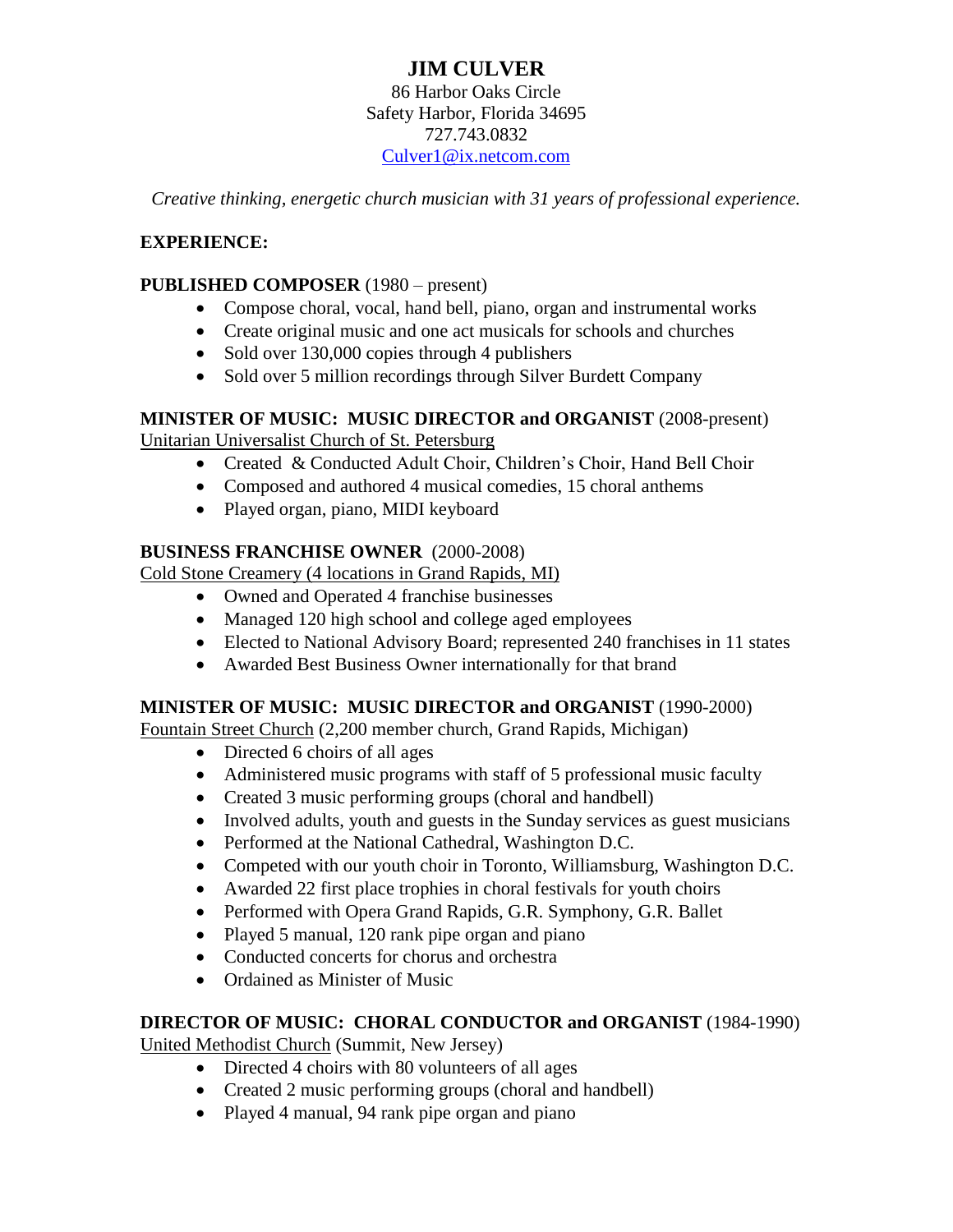# **JIM CULVER**

86 Harbor Oaks Circle Safety Harbor, Florida 34695 727.743.0832 [Culver1@ix.netcom.com](mailto:Culver1@ix.netcom.com)

*Creative thinking, energetic church musician with 31 years of professional experience.*

#### **EXPERIENCE:**

#### **PUBLISHED COMPOSER** (1980 – present)

- Compose choral, vocal, hand bell, piano, organ and instrumental works
- Create original music and one act musicals for schools and churches
- Sold over 130,000 copies through 4 publishers
- Sold over 5 million recordings through Silver Burdett Company

### **MINISTER OF MUSIC: MUSIC DIRECTOR and ORGANIST** (2008-present)

Unitarian Universalist Church of St. Petersburg

- Created & Conducted Adult Choir, Children's Choir, Hand Bell Choir
- Composed and authored 4 musical comedies, 15 choral anthems
- Played organ, piano, MIDI keyboard

#### **BUSINESS FRANCHISE OWNER** (2000-2008)

Cold Stone Creamery (4 locations in Grand Rapids, MI)

- Owned and Operated 4 franchise businesses
- Managed 120 high school and college aged employees
- Elected to National Advisory Board; represented 240 franchises in 11 states
- Awarded Best Business Owner internationally for that brand

#### **MINISTER OF MUSIC: MUSIC DIRECTOR and ORGANIST** (1990-2000)

Fountain Street Church (2,200 member church, Grand Rapids, Michigan)

- Directed 6 choirs of all ages
- Administered music programs with staff of 5 professional music faculty
- Created 3 music performing groups (choral and handbell)
- Involved adults, youth and guests in the Sunday services as guest musicians
- Performed at the National Cathedral, Washington D.C.
- Competed with our youth choir in Toronto, Williamsburg, Washington D.C.
- Awarded 22 first place trophies in choral festivals for youth choirs
- Performed with Opera Grand Rapids, G.R. Symphony, G.R. Ballet
- Played 5 manual, 120 rank pipe organ and piano
- Conducted concerts for chorus and orchestra
- Ordained as Minister of Music

#### **DIRECTOR OF MUSIC: CHORAL CONDUCTOR and ORGANIST** (1984-1990)

United Methodist Church (Summit, New Jersey)

- Directed 4 choirs with 80 volunteers of all ages
- Created 2 music performing groups (choral and handbell)
- Played 4 manual, 94 rank pipe organ and piano